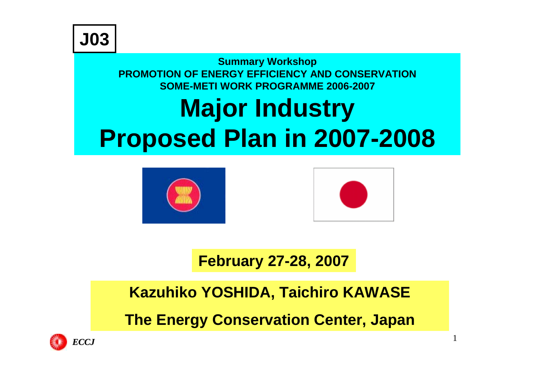#### **Summary Workshop PROMOTION OF ENERGY EFFICIENCY AND CONSERVATIONSOME-METI WORK PROGRAMME 2006-2007Major Industry Proposed Plan in 2007-2008**





1

#### **February 27-28, 2007**

**Kazuhiko YOSHIDA, Taichiro KAWASE The Energy Conservation Center, Japan**

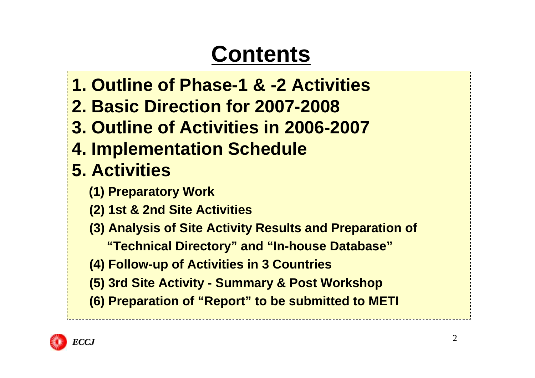## **Contents**

- **1. Outline of Phase-1 & -2 Activities**
- **2. Basic Direction for 2007-2008**
- **3. Outline of Activities in 2006-2007**
- **4. Implementation Schedule**

### **5. Activities**

- **(1) Preparatory Work**
- **(2) 1st & 2nd Site Activities**
- **(3) Analysis of Site Activity Results and Preparation of**
	- **"Technical Directory" and "In-house Database"**
- **(4) Follow-up of Activities in 3 Countries**
- **(5) 3rd Site Activity - Summary & Post Workshop**
- **(6) Preparation of "Report" to be submitted to METI**

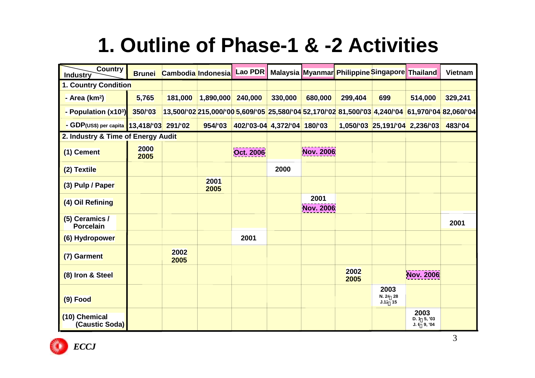## **1. Outline of Phase-1 & -2 Activities**

| <b>Country</b><br><b>Industry</b>         | <b>Brunei</b> |              | Cambodia Indonesia | <b>Lao PDR</b>               |         |                   | Malaysia Myanmar Philippine Singapore Thailand                                                                                            |                               |                                     | <b>Vietnam</b> |
|-------------------------------------------|---------------|--------------|--------------------|------------------------------|---------|-------------------|-------------------------------------------------------------------------------------------------------------------------------------------|-------------------------------|-------------------------------------|----------------|
| 1. Country Condition                      |               |              |                    |                              |         |                   |                                                                                                                                           |                               |                                     |                |
| - Area ( $km2$ )                          | 5,765         | 181,000      | 1,890,000          | 240,000                      | 330,000 | 680,000           | 299,404                                                                                                                                   | 699                           | 514,000                             | 329,241        |
| - Population (x103)                       | 350/'03       |              |                    |                              |         |                   | 13,500/'02 <sup>'</sup> 215,000/'00 <mark>'5,609/'05<sup>'</sup>25,580/'04'</mark> 52,170/'02'81,500/'03'4,240/'04'61,970/'04'82,060/'04' |                               |                                     |                |
| - GDP(US\$) per capita 13,418/'03 291/'02 |               |              | 954/'03            | 402/'03-04 4,372/'04 180/'03 |         |                   |                                                                                                                                           |                               | $1,050/03$ 25,191/04 2,236/03       | 483/04         |
| 2. Industry & Time of Energy Audit        |               |              |                    |                              |         |                   |                                                                                                                                           |                               |                                     |                |
| (1) Cement                                | 2000<br>2005  |              |                    | Oct. 2006                    |         | Nov. 2006         |                                                                                                                                           |                               |                                     |                |
| (2) Textile                               |               |              |                    |                              | 2000    |                   |                                                                                                                                           |                               |                                     |                |
| (3) Pulp / Paper                          |               |              | 2001<br>2005       |                              |         |                   |                                                                                                                                           |                               |                                     |                |
| (4) Oil Refining                          |               |              |                    |                              |         | 2001<br>Nov. 2006 |                                                                                                                                           |                               |                                     |                |
| $(5)$ Ceramics /<br>Porcelain             |               |              |                    |                              |         |                   |                                                                                                                                           |                               |                                     | 2001           |
| (6) Hydropower                            |               |              |                    | 2001                         |         |                   |                                                                                                                                           |                               |                                     |                |
| (7) Garment                               |               | 2002<br>2005 |                    |                              |         |                   |                                                                                                                                           |                               |                                     |                |
| (8) Iron & Steel                          |               |              |                    |                              |         |                   | 2002<br>2005                                                                                                                              |                               | Nov. 2006                           |                |
| $(9)$ Food                                |               |              |                    |                              |         |                   |                                                                                                                                           | 2003<br>N. 24 28<br>$J.12$ 15 |                                     |                |
| (10) Chemical<br>(Caustic Soda)           |               |              |                    |                              |         |                   |                                                                                                                                           |                               | 2003<br>D. 1 5, 03<br>$J. 6$ 9, '04 |                |

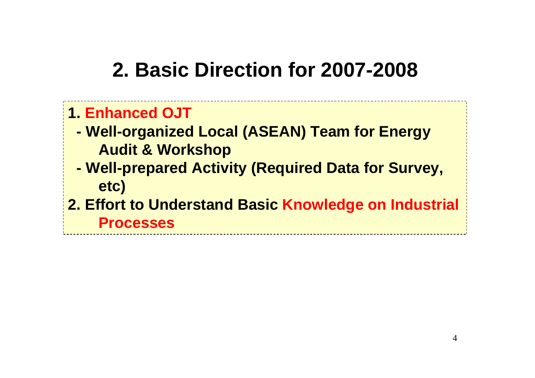## **2. Basic Direction for 2007-2008**

#### **1. Enhanced OJT**

- **Well-organized Local (ASEAN) Team for Energy Audit & Workshop**
- **Well-prepared Activity (Required Data for Survey, etc)**
- **2. Effort to Understand Basic Knowledge on Industrial Processes**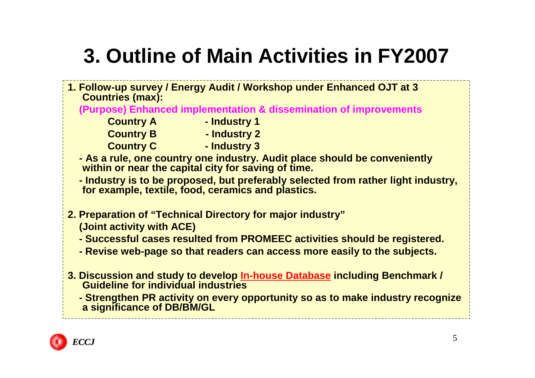## **3. Outline of Main Activities in FY2007**

- **1. Follow-up survey / Energy Audit / Workshop under Enhanced OJT at 3 Countries (max):**
	- **(Purpose) Enhanced implementation & dissemination of improvements** 
		- **Country A Industry 1 Country B** - **Industry 2 Country C - Industry 3** 
			-
			-
	- **- As a rule, one country one industry. Audit place should be conveniently within or near the capital city for saving of time.**
	- **- Industry is to be proposed, but preferably selected from rather light industry, for example, textile, food, ceramics and plastics.**
- **2. Preparation of "Technical Directory for major industry" (Joint activity with ACE)**
	- **- Successful cases resulted from PROMEEC activities should be registered.**
	- **- Revise web-page so that readers can access more easily to the subjects.**
- **3. Discussion and study to develop In-house Database including Benchmark / Guideline for individual industries**
	- **- Strengthen PR activity on every opportunity so as to make industry recognize a significance of DB/BM/GL**

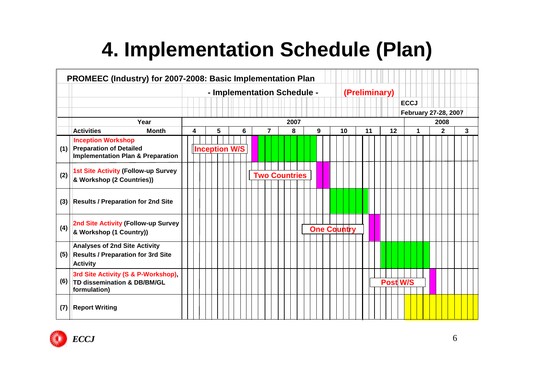## **4. Implementation Schedule (Plan)**

| PROMEEC (Industry) for 2007-2008: Basic Implementation Plan |                                                                                                             |                                              |   |      |                      |  |  |   |  |  |                |  |  |                      |                    |  |    |    |  |    |                 |   |  |  |                      |  |  |   |
|-------------------------------------------------------------|-------------------------------------------------------------------------------------------------------------|----------------------------------------------|---|------|----------------------|--|--|---|--|--|----------------|--|--|----------------------|--------------------|--|----|----|--|----|-----------------|---|--|--|----------------------|--|--|---|
|                                                             |                                                                                                             | - Implementation Schedule -<br>(Preliminary) |   |      |                      |  |  |   |  |  |                |  |  |                      |                    |  |    |    |  |    |                 |   |  |  |                      |  |  |   |
|                                                             |                                                                                                             |                                              |   |      |                      |  |  |   |  |  |                |  |  |                      |                    |  |    |    |  |    | <b>ECCJ</b>     |   |  |  |                      |  |  |   |
|                                                             |                                                                                                             |                                              |   |      |                      |  |  |   |  |  |                |  |  |                      |                    |  |    |    |  |    |                 |   |  |  | February 27-28, 2007 |  |  |   |
|                                                             | Year                                                                                                        |                                              |   | 2007 |                      |  |  |   |  |  |                |  |  |                      | 2008               |  |    |    |  |    |                 |   |  |  |                      |  |  |   |
|                                                             | <b>Month</b><br><b>Activities</b>                                                                           |                                              | 4 |      | 5                    |  |  | 6 |  |  | $\overline{7}$ |  |  | 8                    | $\boldsymbol{9}$   |  | 10 | 11 |  | 12 |                 | 1 |  |  | $\mathbf{2}$         |  |  | 3 |
| (1)                                                         | <b>Inception Workshop</b><br><b>Preparation of Detailed</b><br><b>Implementation Plan &amp; Preparation</b> |                                              |   |      | <b>Inception W/S</b> |  |  |   |  |  |                |  |  |                      |                    |  |    |    |  |    |                 |   |  |  |                      |  |  |   |
| (2)                                                         | 1st Site Activity (Follow-up Survey<br>& Workshop (2 Countries))                                            |                                              |   |      |                      |  |  |   |  |  |                |  |  | <b>Two Countries</b> |                    |  |    |    |  |    |                 |   |  |  |                      |  |  |   |
| (3)                                                         | <b>Results / Preparation for 2nd Site</b>                                                                   |                                              |   |      |                      |  |  |   |  |  |                |  |  |                      |                    |  |    |    |  |    |                 |   |  |  |                      |  |  |   |
| (4)                                                         | 2nd Site Activity (Follow-up Survey<br>& Workshop (1 Country))                                              |                                              |   |      |                      |  |  |   |  |  |                |  |  |                      | <b>One Country</b> |  |    |    |  |    |                 |   |  |  |                      |  |  |   |
| (5)                                                         | <b>Analyses of 2nd Site Activity</b><br><b>Results / Preparation for 3rd Site</b><br><b>Activity</b>        |                                              |   |      |                      |  |  |   |  |  |                |  |  |                      |                    |  |    |    |  |    |                 |   |  |  |                      |  |  |   |
| (6)                                                         | 3rd Site Activity (S & P-Workshop),<br>TD dissemination & DB/BM/GL<br>formulation)                          |                                              |   |      |                      |  |  |   |  |  |                |  |  |                      |                    |  |    |    |  |    | <b>Post W/S</b> |   |  |  |                      |  |  |   |
| (7)                                                         | <b>Report Writing</b>                                                                                       |                                              |   |      |                      |  |  |   |  |  |                |  |  |                      |                    |  |    |    |  |    |                 |   |  |  |                      |  |  |   |

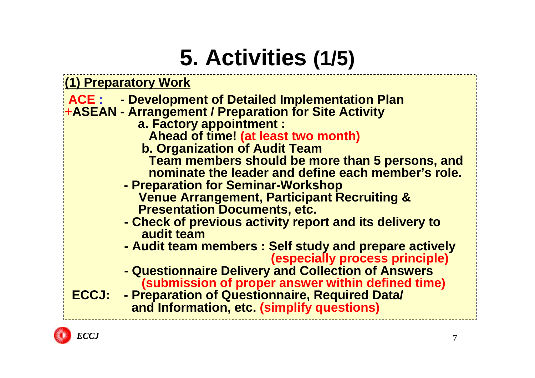# **5. Activities (1/5)**

**(1) Preparatory Work**

#### **ACE : - Development of Detailed Implementation Plan**

- **+ASEAN - Arrangement / Preparation for Site Activity** 
	- **a. Factory appointment :** 
		- **Ahead of time! (at least two month)**
	- **b. Organization of Audit Team Team members should be more than 5 persons, and**
		- **nominate the leader and define each member's role.**
	- **- Preparation for Seminar-Workshop Venue Arrangement, Participant Recruiting & Presentation Documents, etc.**
	- **- Check of previous activity report and its delivery to audit team**
	- **- Audit team members : Self study and prepare actively (especially process principle)**
	- **- Questionnaire Delivery and Collection of Answers (submission of proper answer within defined time)**

**ECCJ: - Preparation of Questionnaire, Required Data/ and Information, etc. (simplify questions)**

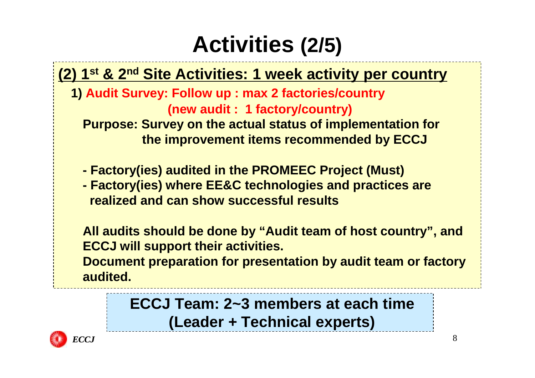# **Activities (2/5)**

#### **(2) 1st & 2nd Site Activities: 1 week activity per country**

**1) Audit Survey: Follow up : max 2 factories/country (new audit : 1 factory/country)**

**Purpose: Survey on the actual status of implementation for the improvement items recommended by ECCJ**

- **- Factory(ies) audited in the PROMEEC Project (Must)**
- **- Factory(ies) where EE&C technologies and practices are realized and can show successful results**

**All audits should be done by "Audit team of host country", and ECCJ will support their activities.** 

**Document preparation for presentation by audit team or factory audited.**

> **ECCJ Team: 2~3 members at each time (Leader + Technical experts)**

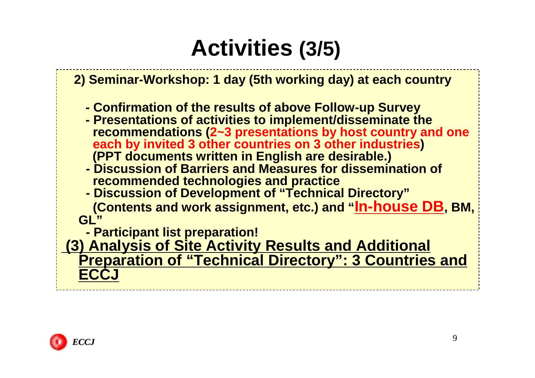# **Activities (3/5)**

#### **2) Seminar-Workshop: 1 day (5th working day) at each country**

- **- Confirmation of the results of above Follow-up Survey**
- **- Presentations of activities to implement/disseminate the recommendations (2~3 presentations by host country and one each by invited 3 other countries on 3 other industries) (PPT documents written in English are desirable.)**
- **- Discussion of Barriers and Measures for dissemination of recommended technologies and practice**
- **- Discussion of Development of "Technical Directory" (Contents and work assignment, etc.) and "In-house DB, BM, GL"**
	- **- Participant list preparation!**

**(3) Analysis of Site Activity Results and Additional Preparation of "Technical Directory": 3 Countries and ECCJ**

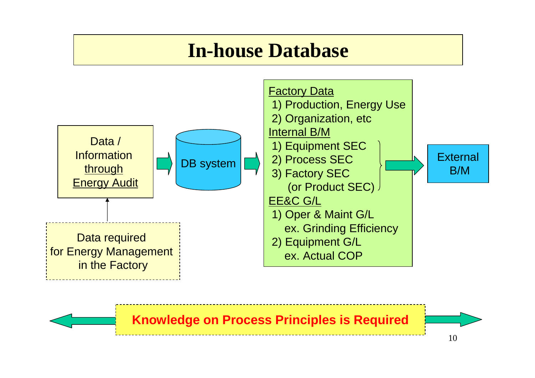### **In-house Database**



**Knowledge on Process Principles is Required**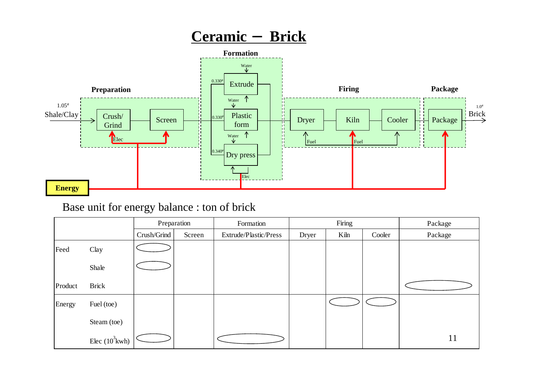#### **Ceramic** -**Brick**



#### Base unit for energy balance : ton of brick

|         |                   |             | Preparation | Formation             |       | Firing |        | Package |
|---------|-------------------|-------------|-------------|-----------------------|-------|--------|--------|---------|
|         |                   | Crush/Grind | Screen      | Extrude/Plastic/Press | Dryer | Kiln   | Cooler | Package |
| Feed    | Clay              |             |             |                       |       |        |        |         |
|         | Shale             |             |             |                       |       |        |        |         |
| Product | <b>Brick</b>      |             |             |                       |       |        |        |         |
| Energy  | Fuel (toe)        |             |             |                       |       |        |        |         |
|         | Steam (toe)       |             |             |                       |       |        |        |         |
|         | Elec $(10^3$ kwh) |             |             |                       |       |        |        | 11      |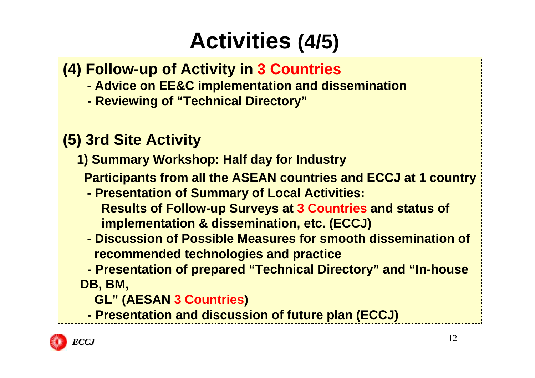# **Activities (4/5)**

#### **(4) Follow-up of Activity in 3 Countries**

- **- Advice on EE&C implementation and dissemination**
- **- Reviewing of "Technical Directory"**

#### **(5) 3rd Site Activity**

**1) Summary Workshop: Half day for Industry**

**Participants from all the ASEAN countries and ECCJ at 1 country**

- **- Presentation of Summary of Local Activities: Results of Follow-up Surveys at 3 Countries and status of implementation & dissemination, etc. (ECCJ)**
- **- Discussion of Possible Measures for smooth dissemination of recommended technologies and practice**
- **- Presentation of prepared "Technical Directory" and "In-house DB, BM,**
	- **GL" (AESAN 3 Countries)**
	- **- Presentation and discussion of future plan (ECCJ)**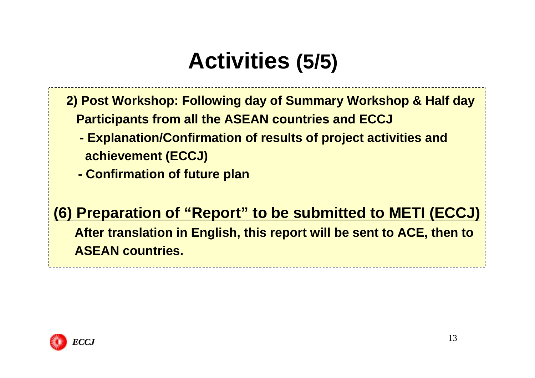# **Activities (5/5)**

- **2) Post Workshop: Following day of Summary Workshop & Half day Participants from all the ASEAN countries and ECCJ**
	- **- Explanation/Confirmation of results of project activities and achievement (ECCJ)**
	- **- Confirmation of future plan**

#### **(6) Preparation of "Report" to be submitted to METI (ECCJ)**

**After translation in English, this report will be sent to ACE, then to ASEAN countries.**